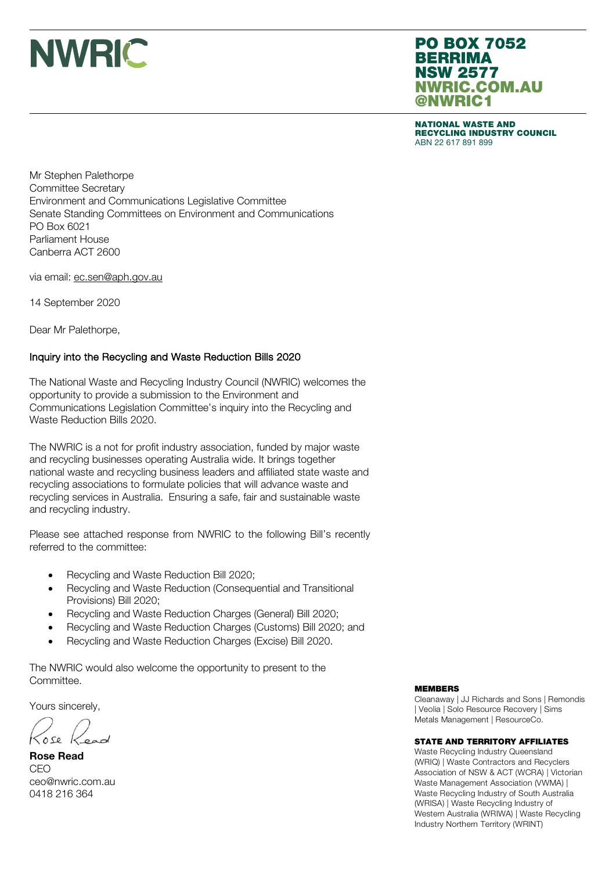### PO BOX 7052 **BERRIMA** NSW 2577 NWRIC.COM.AU @NWRIC1

NATIONAL WASTE AND RECYCLING INDUSTRY COUNCIL ABN 22 617 891 899

Mr Stephen Palethorpe Committee Secretary Environment and Communications Legislative Committee Senate Standing Committees on Environment and Communications PO Box 6021 Parliament House Canberra ACT 2600

via email: ec.sen@aph.gov.au

14 September 2020

Dear Mr Palethorpe,

#### Inquiry into the Recycling and Waste Reduction Bills 2020

The National Waste and Recycling Industry Council (NWRIC) welcomes the opportunity to provide a submission to the Environment and Communications Legislation Committee's inquiry into the Recycling and Waste Reduction Bills 2020.

The NWRIC is a not for profit industry association, funded by major waste and recycling businesses operating Australia wide. It brings together national waste and recycling business leaders and affiliated state waste and recycling associations to formulate policies that will advance waste and recycling services in Australia. Ensuring a safe, fair and sustainable waste and recycling industry.

Please see attached response from NWRIC to the following Bill's recently referred to the committee:

- Recycling and Waste Reduction Bill 2020;
- Recycling and Waste Reduction (Consequential and Transitional Provisions) Bill 2020;
- Recycling and Waste Reduction Charges (General) Bill 2020;
- Recycling and Waste Reduction Charges (Customs) Bill 2020; and
- Recycling and Waste Reduction Charges (Excise) Bill 2020.

The NWRIC would also welcome the opportunity to present to the Committee.

Yours sincerely,

 $0se$ 

Rose Read CEO ceo@nwric.com.au 0418 216 364

#### MEMBERS

Cleanaway | JJ Richards and Sons | Remondis | Veolia | Solo Resource Recovery | Sims Metals Management | ResourceCo.

#### STATE AND TERRITORY AFFILIATES

Waste Recycling Industry Queensland (WRIQ) | Waste Contractors and Recyclers Association of NSW & ACT (WCRA) | Victorian Waste Management Association (VWMA) | Waste Recycling Industry of South Australia (WRISA) | Waste Recycling Industry of Western Australia (WRIWA) | Waste Recycling Industry Northern Territory (WRINT)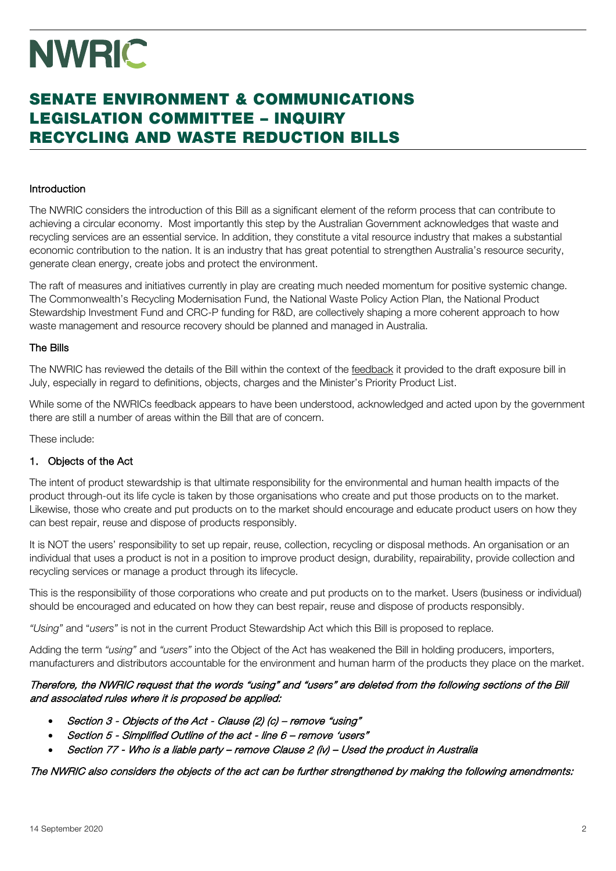### SENATE ENVIRONMENT & COMMUNICATIONS LEGISLATION COMMITTEE – INQUIRY RECYCLING AND WASTE REDUCTION BILLS

#### Introduction

The NWRIC considers the introduction of this Bill as a significant element of the reform process that can contribute to achieving a circular economy. Most importantly this step by the Australian Government acknowledges that waste and recycling services are an essential service. In addition, they constitute a vital resource industry that makes a substantial economic contribution to the nation. It is an industry that has great potential to strengthen Australia's resource security, generate clean energy, create jobs and protect the environment.

The raft of measures and initiatives currently in play are creating much needed momentum for positive systemic change. The Commonwealth's Recycling Modernisation Fund, the National Waste Policy Action Plan, the National Product Stewardship Investment Fund and CRC-P funding for R&D, are collectively shaping a more coherent approach to how waste management and resource recovery should be planned and managed in Australia.

#### The Bills

The NWRIC has reviewed the details of the Bill within the context of the feedback it provided to the draft exposure bill in July, especially in regard to definitions, objects, charges and the Minister's Priority Product List.

While some of the NWRICs feedback appears to have been understood, acknowledged and acted upon by the government there are still a number of areas within the Bill that are of concern.

These include:

#### 1. Objects of the Act

The intent of product stewardship is that ultimate responsibility for the environmental and human health impacts of the product through-out its life cycle is taken by those organisations who create and put those products on to the market. Likewise, those who create and put products on to the market should encourage and educate product users on how they can best repair, reuse and dispose of products responsibly.

It is NOT the users' responsibility to set up repair, reuse, collection, recycling or disposal methods. An organisation or an individual that uses a product is not in a position to improve product design, durability, repairability, provide collection and recycling services or manage a product through its lifecycle.

This is the responsibility of those corporations who create and put products on to the market. Users (business or individual) should be encouraged and educated on how they can best repair, reuse and dispose of products responsibly.

*"Using"* and "*users"* is not in the current Product Stewardship Act which this Bill is proposed to replace.

Adding the term *"using"* and *"users"* into the Object of the Act has weakened the Bill in holding producers, importers, manufacturers and distributors accountable for the environment and human harm of the products they place on the market.

#### Therefore, the NWRIC request that the words "using" and "users" are deleted from the following sections of the Bill and associated rules where it is proposed be applied:

- Section 3 Objects of the Act Clause (2) (c) remove "using"
- Section 5 Simplified Outline of the act line 6 remove 'users"
- Section 77 Who is a liable party remove Clause 2 (iv) Used the product in Australia

The NWRIC also considers the objects of the act can be further strengthened by making the following amendments: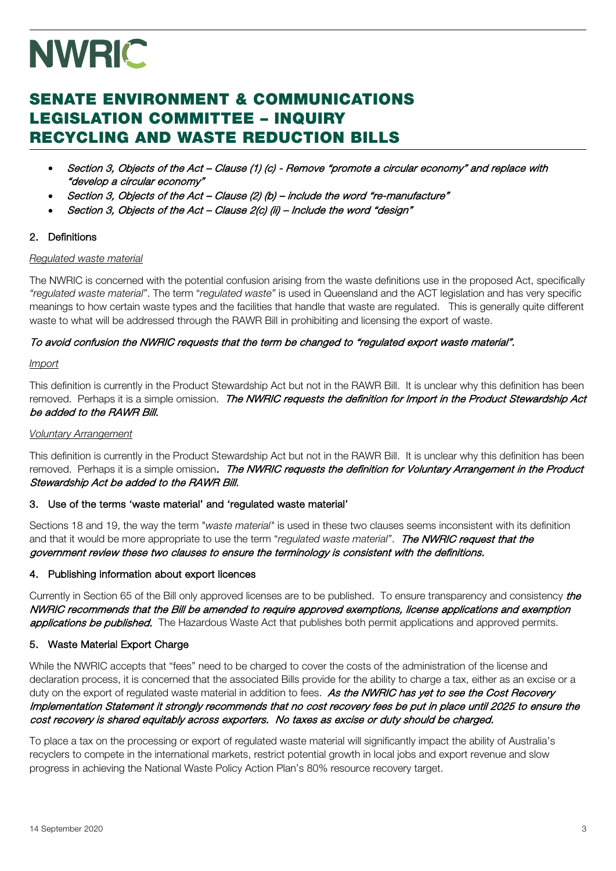### SENATE ENVIRONMENT & COMMUNICATIONS LEGISLATION COMMITTEE – INQUIRY RECYCLING AND WASTE REDUCTION BILLS

- Section 3, Objects of the Act Clause (1) (c) Remove "promote a circular economy" and replace with "develop a circular economy"
- Section 3, Objects of the Act Clause (2) (b) include the word "re-manufacture"
- Section 3, Objects of the Act Clause 2(c) (ii) Include the word "design"

#### 2. Definitions

#### *Regulated waste material*

The NWRIC is concerned with the potential confusion arising from the waste definitions use in the proposed Act, specifically *"regulated waste material"*. The term "*regulated waste"* is used in Queensland and the ACT legislation and has very specific meanings to how certain waste types and the facilities that handle that waste are regulated. This is generally quite different waste to what will be addressed through the RAWR Bill in prohibiting and licensing the export of waste.

#### To avoid confusion the NWRIC requests that the term be changed to "regulated export waste material".

#### *Import*

This definition is currently in the Product Stewardship Act but not in the RAWR Bill. It is unclear why this definition has been removed. Perhaps it is a simple omission. The NWRIC requests the definition for Import in the Product Stewardship Act be added to the RAWR Bill.

#### *Voluntary Arrangement*

This definition is currently in the Product Stewardship Act but not in the RAWR Bill. It is unclear why this definition has been removed. Perhaps it is a simple omission. The NWRIC requests the definition for Voluntary Arrangement in the Product Stewardship Act be added to the RAWR Bill.

#### 3. Use of the terms 'waste material' and 'regulated waste material'

Sections 18 and 19, the way the term "*waste material"* is used in these two clauses seems inconsistent with its definition and that it would be more appropriate to use the term "*regulated waste material"*. The NWRIC request that the government review these two clauses to ensure the terminology is consistent with the definitions.

#### 4. Publishing information about export licences

Currently in Section 65 of the Bill only approved licenses are to be published. To ensure transparency and consistency *the* NWRIC recommends that the Bill be amended to require approved exemptions, license applications and exemption applications be published. The Hazardous Waste Act that publishes both permit applications and approved permits.

#### 5. Waste Material Export Charge

While the NWRIC accepts that "fees" need to be charged to cover the costs of the administration of the license and declaration process, it is concerned that the associated Bills provide for the ability to charge a tax, either as an excise or a duty on the export of regulated waste material in addition to fees. As the NWRIC has yet to see the Cost Recovery Implementation Statement it strongly recommends that no cost recovery fees be put in place until 2025 to ensure the cost recovery is shared equitably across exporters. No taxes as excise or duty should be charged.

To place a tax on the processing or export of regulated waste material will significantly impact the ability of Australia's recyclers to compete in the international markets, restrict potential growth in local jobs and export revenue and slow progress in achieving the National Waste Policy Action Plan's 80% resource recovery target.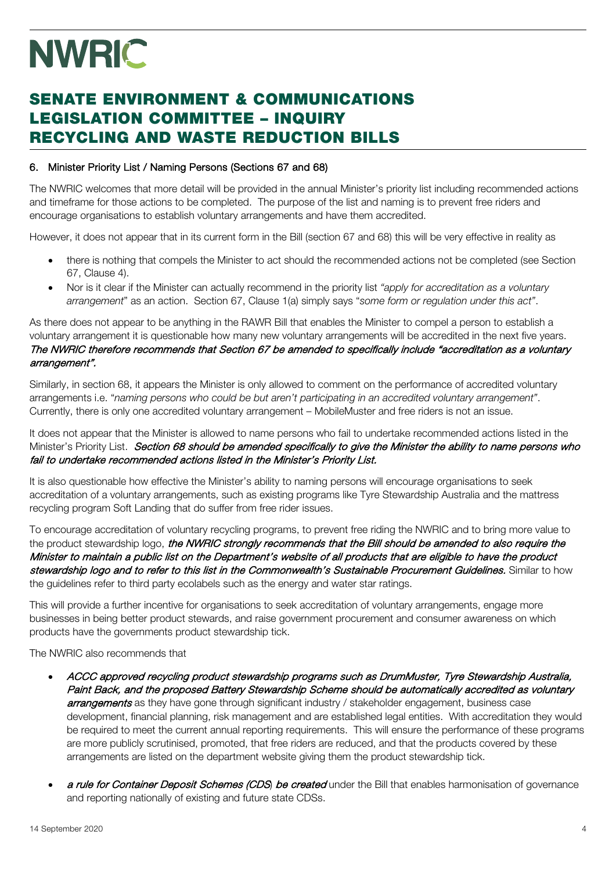## SENATE ENVIRONMENT & COMMUNICATIONS LEGISLATION COMMITTEE – INQUIRY RECYCLING AND WASTE REDUCTION BILLS

#### 6. Minister Priority List / Naming Persons (Sections 67 and 68)

The NWRIC welcomes that more detail will be provided in the annual Minister's priority list including recommended actions and timeframe for those actions to be completed. The purpose of the list and naming is to prevent free riders and encourage organisations to establish voluntary arrangements and have them accredited.

However, it does not appear that in its current form in the Bill (section 67 and 68) this will be very effective in reality as

- there is nothing that compels the Minister to act should the recommended actions not be completed (see Section 67, Clause 4).
- Nor is it clear if the Minister can actually recommend in the priority list *"apply for accreditation as a voluntary arrangement*" as an action. Section 67, Clause 1(a) simply says "*some form or regulation under this act"*.

As there does not appear to be anything in the RAWR Bill that enables the Minister to compel a person to establish a voluntary arrangement it is questionable how many new voluntary arrangements will be accredited in the next five years. The NWRIC therefore recommends that Section 67 be amended to specifically include "accreditation as a voluntary arrangement".

Similarly, in section 68, it appears the Minister is only allowed to comment on the performance of accredited voluntary arrangements i.e. "*naming persons who could be but aren't participating in an accredited voluntary arrangement"*. Currently, there is only one accredited voluntary arrangement – MobileMuster and free riders is not an issue.

It does not appear that the Minister is allowed to name persons who fail to undertake recommended actions listed in the Minister's Priority List. Section 68 should be amended specifically to give the Minister the ability to name persons who fail to undertake recommended actions listed in the Minister's Priority List.

It is also questionable how effective the Minister's ability to naming persons will encourage organisations to seek accreditation of a voluntary arrangements, such as existing programs like Tyre Stewardship Australia and the mattress recycling program Soft Landing that do suffer from free rider issues.

To encourage accreditation of voluntary recycling programs, to prevent free riding the NWRIC and to bring more value to the product stewardship logo, the NWRIC strongly recommends that the Bill should be amended to also require the Minister to maintain a public list on the Department's website of all products that are eligible to have the product stewardship logo and to refer to this list in the Commonwealth's Sustainable Procurement Guidelines. Similar to how the guidelines refer to third party ecolabels such as the energy and water star ratings.

This will provide a further incentive for organisations to seek accreditation of voluntary arrangements, engage more businesses in being better product stewards, and raise government procurement and consumer awareness on which products have the governments product stewardship tick.

The NWRIC also recommends that

- ACCC approved recycling product stewardship programs such as DrumMuster, Tyre Stewardship Australia, Paint Back, and the proposed Battery Stewardship Scheme should be automatically accredited as voluntary arrangements as they have gone through significant industry / stakeholder engagement, business case development, financial planning, risk management and are established legal entities. With accreditation they would be required to meet the current annual reporting requirements. This will ensure the performance of these programs are more publicly scrutinised, promoted, that free riders are reduced, and that the products covered by these arrangements are listed on the department website giving them the product stewardship tick.
- a rule for Container Deposit Schemes (CDS) be created under the Bill that enables harmonisation of governance and reporting nationally of existing and future state CDSs.